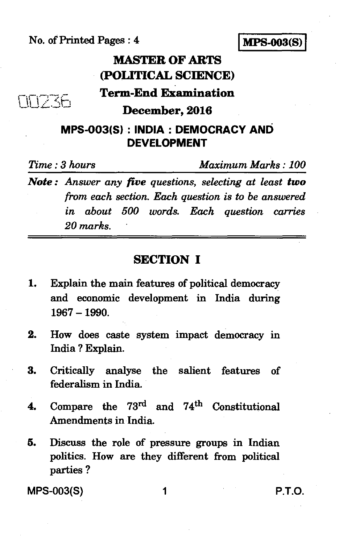No. of Printed Pages : 4 **MPS-003(S)** 



## **MASTER OF ARTS (POLITICAL SCIENCE)**

**Term-End Examination** 

**December, 2016** 

### **MPS-003(S) : INDIA : DEMOCRACY AND DEVELOPMENT**

**FIFTZE** 

*Time : 3 hours Maximum Marks : 100* 

*Note : Answer any five questions, selecting at least two from each section. Each question is to be answered in about 500 words. Each question carries 20 marks.* 

### **SECTION I**

- 1. Explain the main features of political democracy and economic development in India during 1967 —1990.
- 2. How does caste system impact democracy in India ? Explain.
- 3. Critically analyse the salient features of federalism in India.
- 4. Compare the  $73^{\text{rd}}$  and  $74^{\text{th}}$  Constitutional Amendments in India.
- 5. Discuss the role of pressure groups in Indian politics. How are they different from political parties ?

MPS-003(S) 1 P.T.O.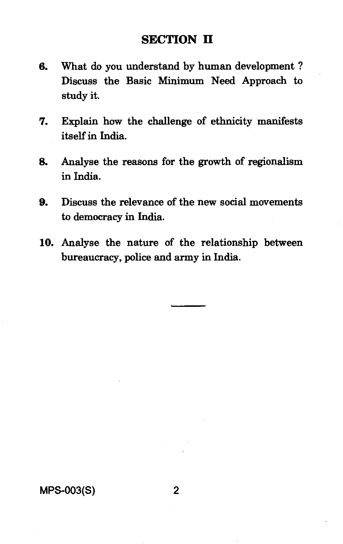### **SECTION II**

- 6. What do you understand by human development ? Discuss the Basic Minimum Need Approach to study it.
- 7. Explain how the challenge of ethnicity manifests itself in India.
- 8. Analyse the reasons for the growth of regionalism in India.
- 9. Discuss the relevance of the new social movements to democracy in India.
- 10. Analyse the nature of the relationship between bureaucracy, police and army in India.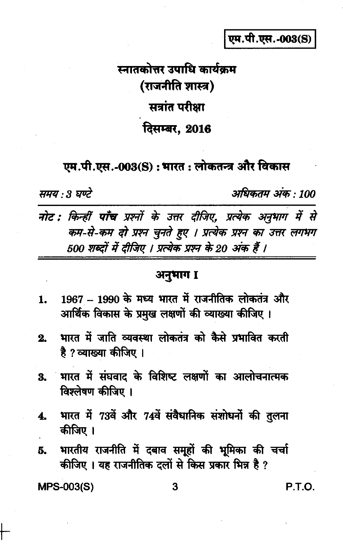एम.पी.एस.-003(S)

# स्नातकोत्तर उपाधि कार्यकम (राजनीति शास्त्र) सत्रांत परीक्षा दिसम्बर, 2016

### एम.पी.एस.-003(S) : भारत : लोकतन्त्र और विकास

समय : 3 घण्टे

अधिकतम् अंक : 100

नोट : किन्हीं पाँच प्रश्नों के उत्तर दीजिए, प्रत्येक अनुभाग में से कम-से-कम दो प्रश्न चुनते हुए । प्रत्येक प्रश्न का उत्तर लगभग 500 शब्दों में दीजिए । प्रत्येक प्रश्न के 20 अंक हैं ।

### अनुभाग I

- 1967 1990 के मध्य भारत में राजनीतिक लोकतंत्र और  $1.$ आर्थिक विकास के प्रमुख लक्षणों की व्याख्या कीजिए ।
- भारत में जाति व्यवस्था लोकतंत्र को कैसे प्रभावित करती  $2.$ है ? व्याख्या कीजिए ।
- भारत में संघवाद के विशिष्ट लक्षणों का आलोचनात्मक 3. विश्लेषण कीजिए ।
- भारत में 73वें और 74वें संवैधानिक संशोधनों की तुलना 4. कीजिए ।
- भारतीय राजनीति में दबाव समूहों की भूमिका की चर्चा 5. कीजिए। यह राजनीतिक दलों से किस प्रकार भिन्न है ?

**MPS-003(S)** 

P.T.O.